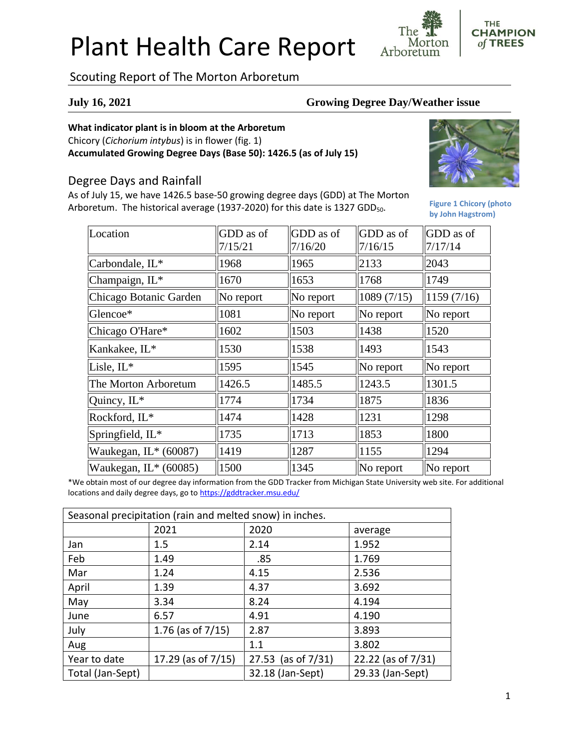# Plant Health Care Report

**CHAMPION** Morton of TREES Arboretum

## Scouting Report of The Morton Arboretum

#### **July 16, 2021 Growing Degree Day/Weather issue**

#### **What indicator plant is in bloom at the Arboretum**

Chicory (*Cichorium intybus*) is in flower (fig. 1) **Accumulated Growing Degree Days (Base 50): 1426.5 (as of July 15)**

### Degree Days and Rainfall

As of July 15, we have 1426.5 base-50 growing degree days (GDD) at The Morton Arboretum. The historical average (1937-2020) for this date is 1327 GDD<sub>50</sub>.



**THE** 

**Figure 1 Chicory (photo by John Hagstrom)**

| Location               | GDD as of | GDD as of      | GDD as of        | GDD as of  |
|------------------------|-----------|----------------|------------------|------------|
|                        | 7/15/21   | 7/16/20        | 7/16/15          | 7/17/14    |
| Carbondale, IL*        | 1968      | 1965           | 2133             | 2043       |
| Champaign, IL*         | 1670      | 1653           | 1768             | 1749       |
| Chicago Botanic Garden | No report | $\ $ No report | 1089(7/15)       | 1159(7/16) |
| Glencoe*               | 1081      | $\ $ No report | $\ $ No report   | No report  |
| Chicago O'Hare*        | 1602      | 1503           | 1438             | 1520       |
| Kankakee, IL*          | 1530      | 1538           | 1493             | 1543       |
| Lisle, IL*             | 1595      | 1545           | $\ $ No report   | No report  |
| The Morton Arboretum   | 1426.5    | 1485.5         | 1243.5           | 1301.5     |
| Quincy, IL*            | 1774      | 1734           | 1875             | 1836       |
| Rockford, IL*          | 1474      | 1428           | 1231             | 1298       |
| Springfield, IL*       | 1735      | 1713           | 1853             | 1800       |
| Waukegan, $IL*(60087)$ | 1419      | 1287           | $\parallel$ 1155 | 1294       |
| Waukegan, IL* (60085)  | 1500      | 1345           | $\ $ No report   | No report  |

\*We obtain most of our degree day information from the GDD Tracker from Michigan State University web site. For additional locations and daily degree days, go to <https://gddtracker.msu.edu/>

| Seasonal precipitation (rain and melted snow) in inches. |                       |                       |                    |  |  |
|----------------------------------------------------------|-----------------------|-----------------------|--------------------|--|--|
|                                                          | 2021                  | 2020                  | average            |  |  |
| Jan                                                      | 1.5                   | 2.14                  | 1.952              |  |  |
| Feb                                                      | 1.49                  | .85                   | 1.769              |  |  |
| Mar                                                      | 1.24                  | 4.15                  | 2.536              |  |  |
| April                                                    | 1.39                  | 4.37                  | 3.692              |  |  |
| May                                                      | 3.34                  | 8.24                  | 4.194              |  |  |
| June                                                     | 6.57                  | 4.91                  | 4.190              |  |  |
| July                                                     | 1.76 (as of $7/15$ )  | 2.87                  | 3.893              |  |  |
| Aug                                                      |                       | 1.1                   | 3.802              |  |  |
| Year to date                                             | 17.29 (as of $7/15$ ) | 27.53 (as of $7/31$ ) | 22.22 (as of 7/31) |  |  |
| Total (Jan-Sept)                                         |                       | 32.18 (Jan-Sept)      | 29.33 (Jan-Sept)   |  |  |